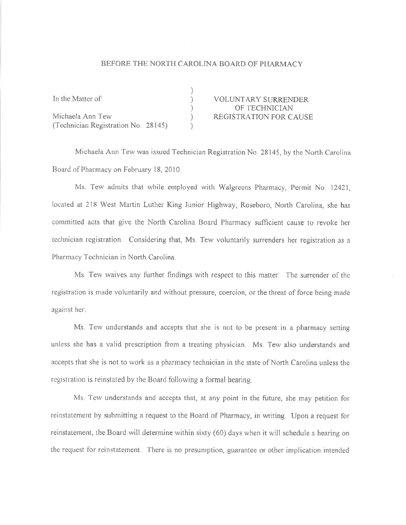## BEFORE THE NORTH CAROLINA BOARD OF PHARMACY

| In the Matter of:                   | <b>VOLUNTARY SURRENDER</b>    |
|-------------------------------------|-------------------------------|
|                                     | OF TECHNICIAN                 |
| Michaela Ann Tew                    | <b>REGISTRATION FOR CAUSE</b> |
| (Technician Registration No. 28145) |                               |

Michaela Ann Tew was issued Technician Registration No. 28145, by the North Carolina Board of Pharmacy on February 18, 2010.

Ms. Tew admits that while employed with Walgreens Pharmacy, Permit No. 12421, located at 218 West Martin Luther King Junior Highway, Roseboro, North Carolina, she has committed acts that give the North Carolina Board Pharmacy sufficient cause to revoke her technician registration. Considering that, Ms. Tew voluntarily surrenders her registration as a Pharmacy Technician in North Carolina.

Ms. Tew waives any further findings with respect to this matter. The surrender of the registration is made voluntarily and without pressure, coercion, or the threat of force being made against her.

Ms. Tew understands and accepts that she is not to be present in a pharmacy setting unless she has a valid prescription from a treating physician. Ms. Tew also understands and accepts that she is not to work as a pharmacy technician in the state of North Carolina unless the registration is reinstated by the Board following a formal hearing.

Ms. Tew understands and accepts that, at any point in the future, she may petition for reinstatement by submitting a request to the Board of Pharmacy, in writing. Upon a request for reinstatement, the Board will determine within sixty (60) days when it will schedule a hearing on the request for reinstatement. There is no presumption, guarantee or other implication intended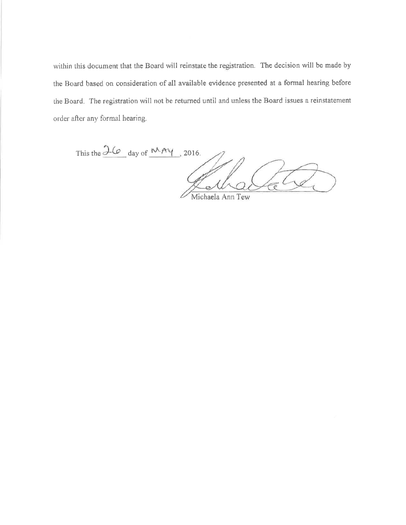within this document that the Board will reinstate the registration. The decision will be made by the Board based on consideration of all available evidence presented at a formal hearing before the Board. The registration will not be returned until and unless the Board issues a reinstatement order after any formal hearing.

This the  $\frac{3\omega}{\omega}$  day of  $\frac{MAY}{}$ , 2016. Michaela Ann Tew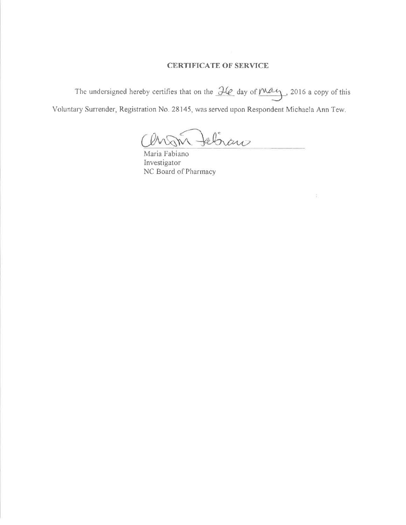## **CERTIFICATE OF SERVICE**

The undersigned hereby certifies that on the  $\frac{\partial \ell \partial z}{\partial x}$  day of  $\frac{\partial \ell \partial z}{\partial y}$ , 2016 a copy of this Voluntary Surrender, Registration No. 28145, was served upon Respondent Michaela Ann Tew.

tebrano

Maria Fabiano Investigator NC Board of Pharmacy